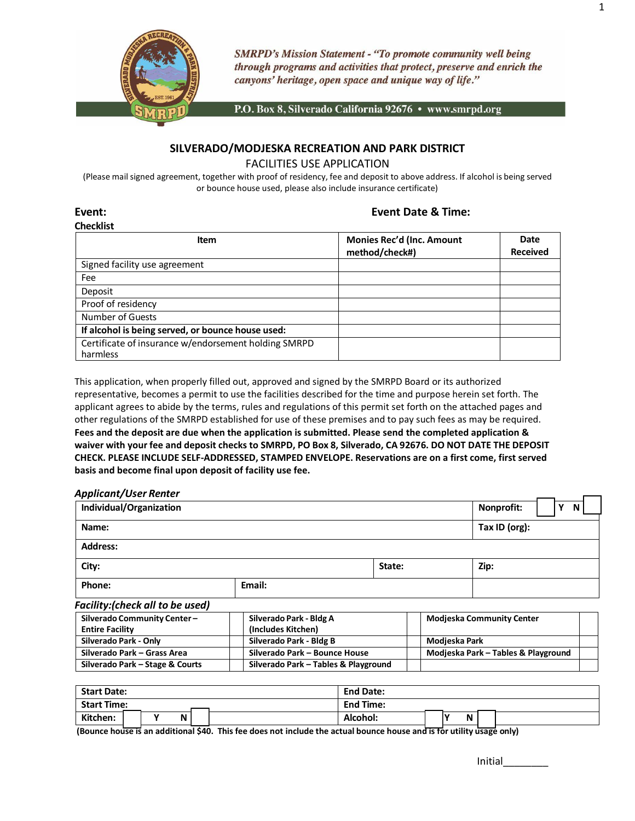

**SMRPD's Mission Statement - "To promote community well being** through programs and activities that protect, preserve and enrich the canyons' heritage, open space and unique way of life."

P.O. Box 8, Silverado California 92676 • www.smrpd.org

# **SILVERADO/MODJESKA RECREATION AND PARK DISTRICT**

FACILITIES USE APPLICATION

(Please mail signed agreement, together with proof of residency, fee and deposit to above address. If alcohol is being served or bounce house used, please also include insurance certificate)

# **Checklist**

## **Event: Event Date & Time:**

| CHELMISL<br>Item                                     | <b>Monies Rec'd (Inc. Amount</b> | <b>Date</b>     |
|------------------------------------------------------|----------------------------------|-----------------|
|                                                      | method/check#)                   | <b>Received</b> |
| Signed facility use agreement                        |                                  |                 |
| Fee                                                  |                                  |                 |
| Deposit                                              |                                  |                 |
| Proof of residency                                   |                                  |                 |
| Number of Guests                                     |                                  |                 |
| If alcohol is being served, or bounce house used:    |                                  |                 |
| Certificate of insurance w/endorsement holding SMRPD |                                  |                 |
| harmless                                             |                                  |                 |

This application, when properly filled out, approved and signed by the SMRPD Board or its authorized representative, becomes a permit to use the facilities described for the time and purpose herein set forth. The applicant agrees to abide by the terms, rules and regulations of this permit set forth on the attached pages and other regulations of the SMRPD established for use of these premises and to pay such fees as may be required. **Fees and the deposit are due when the application is submitted. Please send the completed application &**  waiver with your fee and deposit checks to SMRPD, PO Box 8, Silverado, CA 92676. DO NOT DATE THE DEPOSIT **CHECK. PLEASE INCLUDE SELF-ADDRESSED, STAMPED ENVELOPE. Reservations are on a first come, first served basis and become final upon deposit of facility use fee.**

| <b>Applicant/User Renter</b>                          |                                               |        |               |                                     |  |
|-------------------------------------------------------|-----------------------------------------------|--------|---------------|-------------------------------------|--|
| Individual/Organization                               |                                               |        |               | Nonprofit:<br>Υ<br>N                |  |
| Name:                                                 |                                               |        |               | Tax ID (org):                       |  |
| <b>Address:</b>                                       |                                               |        |               |                                     |  |
| City:                                                 |                                               | State: |               | Zip:                                |  |
| Phone:                                                | Email:                                        |        |               |                                     |  |
| <b>Facility:</b> (check all to be used)               |                                               |        |               |                                     |  |
| Silverado Community Center-<br><b>Entire Facility</b> | Silverado Park - Bldg A<br>(Includes Kitchen) |        |               | <b>Modjeska Community Center</b>    |  |
| Silverado Park - Only                                 | Silverado Park - Bldg B                       |        | Modjeska Park |                                     |  |
| Silverado Park - Grass Area                           | Silverado Park - Bounce House                 |        |               | Modjeska Park - Tables & Playground |  |
| Silverado Park – Stage & Courts                       | Silverado Park - Tables & Playground          |        |               |                                     |  |

| <b>Start Date:</b> |  |  |   | <b>End Date:</b> |                  |  |  |   |  |  |
|--------------------|--|--|---|------------------|------------------|--|--|---|--|--|
| <b>Start Time:</b> |  |  |   |                  | <b>End Time:</b> |  |  |   |  |  |
| Kitchen:           |  |  | N |                  | Alcohol:         |  |  | N |  |  |

(Bounce house is an additional \$40. This fee does not include the actual bounce house and is for utility usage only)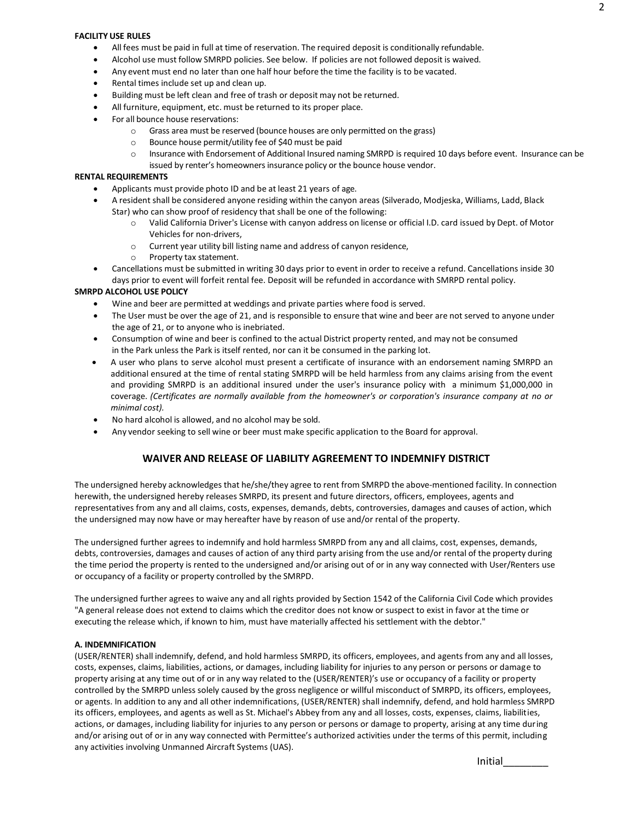#### **FACILITY USE RULES**

- All fees must be paid in full at time of reservation. The required deposit is conditionally refundable.
- Alcohol use must follow SMRPD policies. See below. If policies are not followed deposit is waived.
- Any event must end no later than one half hour before the time the facility is to be vacated.
- Rental times include set up and clean up.
- Building must be left clean and free of trash or deposit may not be returned.
- All furniture, equipment, etc. must be returned to its proper place.
- For all bounce house reservations:
	- o Grass area must be reserved (bounce houses are only permitted on the grass)
	- o Bounce house permit/utility fee of \$40 must be paid
	- o Insurance with Endorsement of Additional Insured naming SMRPD is required 10 days before event. Insurance can be issued by renter's homeowners insurance policy or the bounce house vendor.

#### **RENTAL REQUIREMENTS**

- Applicants must provide photo ID and be at least 21 years of age.
- A resident shall be considered anyone residing within the canyon areas (Silverado, Modjeska, Williams, Ladd, Black Star) who can show proof of residency that shall be one of the following:
	- o Valid California Driver's License with canyon address on license or official I.D. card issued by Dept. of Motor Vehicles for non-drivers,
	- o Current year utility bill listing name and address of canyon residence,
	- o Property tax statement.
- Cancellations must be submitted in writing 30 days prior to event in order to receive a refund. Cancellations inside 30 days prior to event will forfeit rental fee. Deposit will be refunded in accordance with SMRPD rental policy.

## **SMRPD ALCOHOL USE POLICY**

- Wine and beer are permitted at weddings and private parties where food is served.
- The User must be over the age of 21, and is responsible to ensure that wine and beer are not served to anyone under the age of 21, or to anyone who is inebriated.
- Consumption of wine and beer is confined to the actual District property rented, and may not be consumed in the Park unless the Park is itself rented, nor can it be consumed in the parking lot.
- A user who plans to serve alcohol must present a certificate of insurance with an endorsement naming SMRPD an additional ensured at the time of rental stating SMRPD will be held harmless from any claims arising from the event and providing SMRPD is an additional insured under the user's insurance policy with a minimum \$1,000,000 in coverage. *(Certificates are normally available from the homeowner's or corporation's insurance company at no or minimal cost).*
- No hard alcohol is allowed, and no alcohol may be sold.
- Any vendor seeking to sell wine or beer must make specific application to the Board for approval.

## **WAIVER AND RELEASE OF LIABILITY AGREEMENT TO INDEMNIFY DISTRICT**

The undersigned hereby acknowledges that he/she/they agree to rent from SMRPD the above-mentioned facility. In connection herewith, the undersigned hereby releases SMRPD, its present and future directors, officers, employees, agents and representatives from any and all claims, costs, expenses, demands, debts, controversies, damages and causes of action, which the undersigned may now have or may hereafter have by reason of use and/or rental of the property.

The undersigned further agrees to indemnify and hold harmless SMRPD from any and all claims, cost, expenses, demands, debts, controversies, damages and causes of action of any third party arising from the use and/or rental of the property during the time period the property is rented to the undersigned and/or arising out of or in any way connected with User/Renters use or occupancy of a facility or property controlled by the SMRPD.

The undersigned further agrees to waive any and all rights provided by Section 1542 of the California Civil Code which provides "A general release does not extend to claims which the creditor does not know or suspect to exist in favor at the time or executing the release which, if known to him, must have materially affected his settlement with the debtor."

#### **A. INDEMNIFICATION**

(USER/RENTER) shall indemnify, defend, and hold harmless SMRPD, its officers, employees, and agents from any and all losses, costs, expenses, claims, liabilities, actions, or damages, including liability for injuries to any person or persons or damage to property arising at any time out of or in any way related to the (USER/RENTER)'s use or occupancy of a facility or property controlled by the SMRPD unless solely caused by the gross negligence or willful misconduct of SMRPD, its officers, employees, or agents. In addition to any and all other indemnifications, (USER/RENTER) shall indemnify, defend, and hold harmless SMRPD its officers, employees, and agents as well as St. Michael's Abbey from any and all losses, costs, expenses, claims, liabilities, actions, or damages, including liability for injuries to any person or persons or damage to property, arising at any time during and/or arising out of or in any way connected with Permittee's authorized activities under the terms of this permit, including any activities involving Unmanned Aircraft Systems (UAS).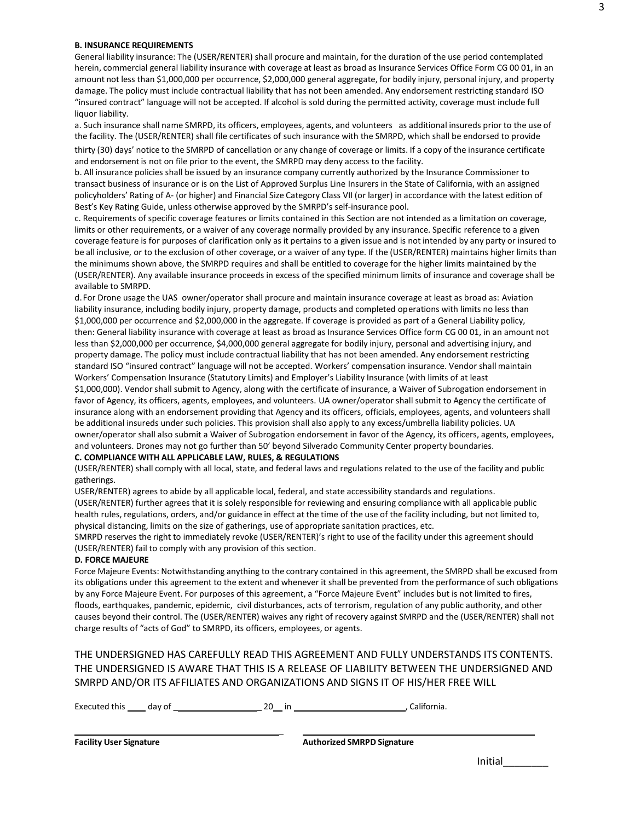#### **B. INSURANCE REQUIREMENTS**

General liability insurance: The (USER/RENTER) shall procure and maintain, for the duration of the use period contemplated herein, commercial general liability insurance with coverage at least as broad as Insurance Services Office Form CG 00 01, in an amount not less than \$1,000,000 per occurrence, \$2,000,000 general aggregate, for bodily injury, personal injury, and property damage. The policy must include contractual liability that has not been amended. Any endorsement restricting standard ISO "insured contract" language will not be accepted. If alcohol is sold during the permitted activity, coverage must include full liquor liability.

a. Such insurance shall name SMRPD, its officers, employees, agents, and volunteers as additional insureds prior to the use of the facility. The (USER/RENTER) shall file certificates of such insurance with the SMRPD, which shall be endorsed to provide

thirty (30) days' notice to the SMRPD of cancellation or any change of coverage or limits. If a copy of the insurance certificate and endorsement is not on file prior to the event, the SMRPD may deny access to the facility.

b. All insurance policies shall be issued by an insurance company currently authorized by the Insurance Commissioner to transact business of insurance or is on the List of Approved Surplus Line Insurers in the State of California, with an assigned policyholders' Rating of A- (or higher) and Financial Size Category Class VII (or larger) in accordance with the latest edition of Best's Key Rating Guide, unless otherwise approved by the SMRPD's self-insurance pool.

c. Requirements of specific coverage features or limits contained in this Section are not intended as a limitation on coverage, limits or other requirements, or a waiver of any coverage normally provided by any insurance. Specific reference to a given coverage feature is for purposes of clarification only as it pertains to a given issue and is not intended by any party or insured to be all inclusive, or to the exclusion of other coverage, or a waiver of any type. If the (USER/RENTER) maintains higher limits than the minimums shown above, the SMRPD requires and shall be entitled to coverage for the higher limits maintained by the (USER/RENTER). Any available insurance proceeds in excess of the specified minimum limits of insurance and coverage shall be available to SMRPD.

d.For Drone usage the UAS owner/operator shall procure and maintain insurance coverage at least as broad as: Aviation liability insurance, including bodily injury, property damage, products and completed operations with limits no less than \$1,000,000 per occurrence and \$2,000,000 in the aggregate. If coverage is provided as part of a General Liability policy, then: General liability insurance with coverage at least as broad as Insurance Services Office form CG 00 01, in an amount not less than \$2,000,000 per occurrence, \$4,000,000 general aggregate for bodily injury, personal and advertising injury, and property damage. The policy must include contractual liability that has not been amended. Any endorsement restricting standard ISO "insured contract" language will not be accepted. Workers' compensation insurance. Vendor shall maintain Workers' Compensation Insurance (Statutory Limits) and Employer's Liability Insurance (with limits of at least \$1,000,000). Vendor shall submit to Agency, along with the certificate of insurance, a Waiver of Subrogation endorsement in favor of Agency, its officers, agents, employees, and volunteers. UA owner/operator shall submit to Agency the certificate of insurance along with an endorsement providing that Agency and its officers, officials, employees, agents, and volunteers shall be additional insureds under such policies. This provision shall also apply to any excess/umbrella liability policies. UA owner/operator shall also submit a Waiver of Subrogation endorsement in favor of the Agency, its officers, agents, employees, and volunteers. Drones may not go further than 50' beyond Silverado Community Center property boundaries.

#### **C. COMPLIANCE WITH ALL APPLICABLE LAW, RULES, & REGULATIONS**

(USER/RENTER) shall comply with all local, state, and federal laws and regulations related to the use of the facility and public gatherings.

USER/RENTER) agrees to abide by all applicable local, federal, and state accessibility standards and regulations. (USER/RENTER) further agrees that it is solely responsible for reviewing and ensuring compliance with all applicable public health rules, regulations, orders, and/or guidance in effect at the time of the use of the facility including, but not limited to, physical distancing, limits on the size of gatherings, use of appropriate sanitation practices, etc.

SMRPD reserves the right to immediately revoke (USER/RENTER)'s right to use of the facility under this agreement should (USER/RENTER) fail to comply with any provision of this section.

#### **D. FORCE MAJEURE**

Force Majeure Events: Notwithstanding anything to the contrary contained in this agreement, the SMRPD shall be excused from its obligations under this agreement to the extent and whenever it shall be prevented from the performance of such obligations by any Force Majeure Event. For purposes of this agreement, a "Force Majeure Event" includes but is not limited to fires, floods, earthquakes, pandemic, epidemic, civil disturbances, acts of terrorism, regulation of any public authority, and other causes beyond their control. The (USER/RENTER) waives any right of recovery against SMRPD and the (USER/RENTER) shall not charge results of "acts of God" to SMRPD, its officers, employees, or agents.

# THE UNDERSIGNED HAS CAREFULLY READ THIS AGREEMENT AND FULLY UNDERSTANDS ITS CONTENTS. THE UNDERSIGNED IS AWARE THAT THIS IS A RELEASE OF LIABILITY BETWEEN THE UNDERSIGNED AND SMRPD AND/OR ITS AFFILIATES AND ORGANIZATIONS AND SIGNS IT OF HIS/HER FREE WILL

Executed this day of \_ \_ 20 in , California.

 $\overline{a}$ 

Initial\_\_\_\_\_\_\_\_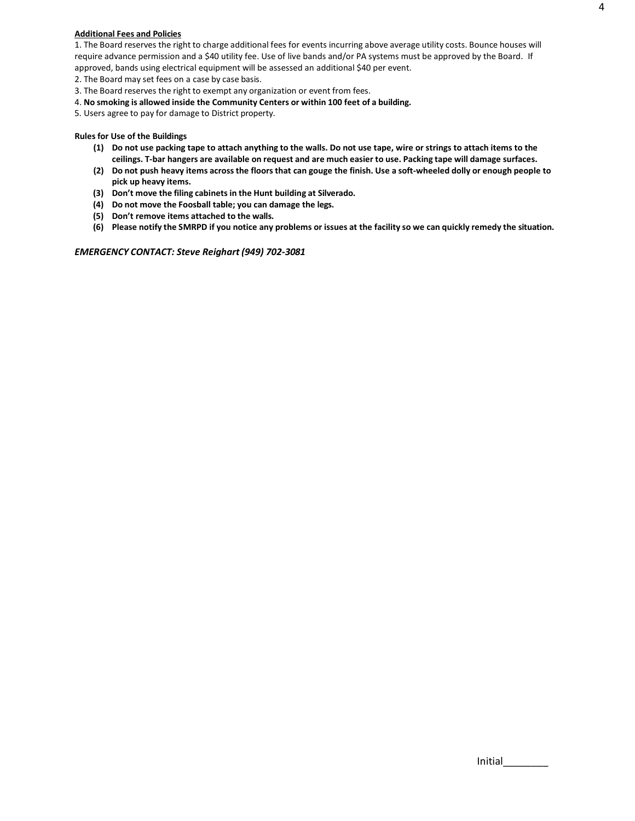#### **Additional Fees and Policies**

1. The Board reserves the right to charge additional fees for events incurring above average utility costs. Bounce houses will require advance permission and a \$40 utility fee. Use of live bands and/or PA systems must be approved by the Board. If approved, bands using electrical equipment will be assessed an additional \$40 per event.

2. The Board may set fees on a case by case basis.

- 3. The Board reserves the right to exempt any organization or event from fees.
- 4. **No smoking is allowed inside the Community Centers or within 100 feet of a building.**

5. Users agree to pay for damage to District property.

#### **Rules for Use of the Buildings**

- **(1) Do not use packing tape to attach anything to the walls. Do not use tape, wire or strings to attach items to the**  ceilings. T-bar hangers are available on request and are much easier to use. Packing tape will damage surfaces.
- (2) Do not push heavy items across the floors that can gouge the finish. Use a soft-wheeled dolly or enough people to **pick up heavy items.**
- **(3) Don't move the filing cabinets in the Hunt building at Silverado.**
- **(4) Do not move the Foosball table; you can damage the legs.**
- **(5) Don't remove items attached to the walls.**
- (6) Please notify the SMRPD if you notice any problems or issues at the facility so we can quickly remedy the situation.

*EMERGENCY CONTACT: Steve Reighart (949) 702-3081*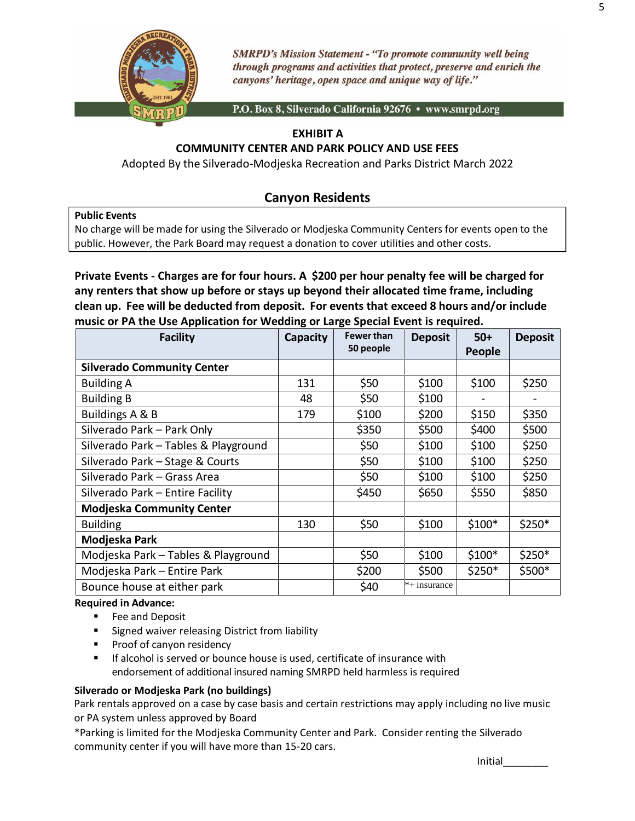

**SMRPD's Mission Statement - "To promote community well being** through programs and activities that protect, preserve and enrich the canyons' heritage, open space and unique way of life."

P.O. Box 8, Silverado California 92676 · www.smrpd.org

# **EXHIBIT A**

# **COMMUNITY CENTER AND PARK POLICY AND USE FEES**

Adopted By the Silverado-Modjeska Recreation and Parks District March 2022

# **Canyon Residents**

## **Public Events**

No charge will be made for using the Silverado or Modjeska Community Centers for events open to the public. However, the Park Board may request a donation to cover utilities and other costs.

**Private Events - Charges are for four hours. A \$200 per hour penalty fee will be charged for any renters that show up before or stays up beyond their allocated time frame, including clean up. Fee will be deducted from deposit. For events that exceed 8 hours and/or include music or PA the Use Application for Wedding or Large Special Event is required.**

| <b>Facility</b>                      | Capacity | <b>Fewer than</b><br>50 people | <b>Deposit</b> | $50+$<br>People | <b>Deposit</b> |
|--------------------------------------|----------|--------------------------------|----------------|-----------------|----------------|
| <b>Silverado Community Center</b>    |          |                                |                |                 |                |
| <b>Building A</b>                    | 131      | \$50                           | \$100          | \$100           | \$250          |
| <b>Building B</b>                    | 48       | \$50                           | \$100          |                 |                |
| Buildings A & B                      | 179      | \$100                          | \$200          | \$150           | \$350          |
| Silverado Park - Park Only           |          | \$350                          | \$500          | \$400           | \$500          |
| Silverado Park - Tables & Playground |          | \$50                           | \$100          | \$100           | \$250          |
| Silverado Park - Stage & Courts      |          | \$50                           | \$100          | \$100           | \$250          |
| Silverado Park – Grass Area          |          | \$50                           | \$100          | \$100           | \$250          |
| Silverado Park - Entire Facility     |          | \$450                          | \$650          | \$550           | \$850          |
| <b>Modjeska Community Center</b>     |          |                                |                |                 |                |
| <b>Building</b>                      | 130      | \$50                           | \$100          | $$100*$         | \$250*         |
| Modjeska Park                        |          |                                |                |                 |                |
| Modjeska Park - Tables & Playground  |          | \$50                           | \$100          | $$100*$         | $$250*$        |
| Modjeska Park - Entire Park          |          | \$200                          | \$500          | $$250*$         | \$500*         |
| Bounce house at either park          |          | \$40                           | $*+$ insurance |                 |                |

# **Required in Advance:**

- Fee and Deposit
- Signed waiver releasing District from liability
- Proof of canyon residency
- If alcohol is served or bounce house is used, certificate of insurance with endorsement of additional insured naming SMRPD held harmless is required

# **Silverado or Modjeska Park (no buildings)**

Park rentals approved on a case by case basis and certain restrictions may apply including no live music or PA system unless approved by Board

\*Parking is limited for the Modjeska Community Center and Park. Consider renting the Silverado community center if you will have more than 15-20 cars.

| Initial |
|---------|
|---------|